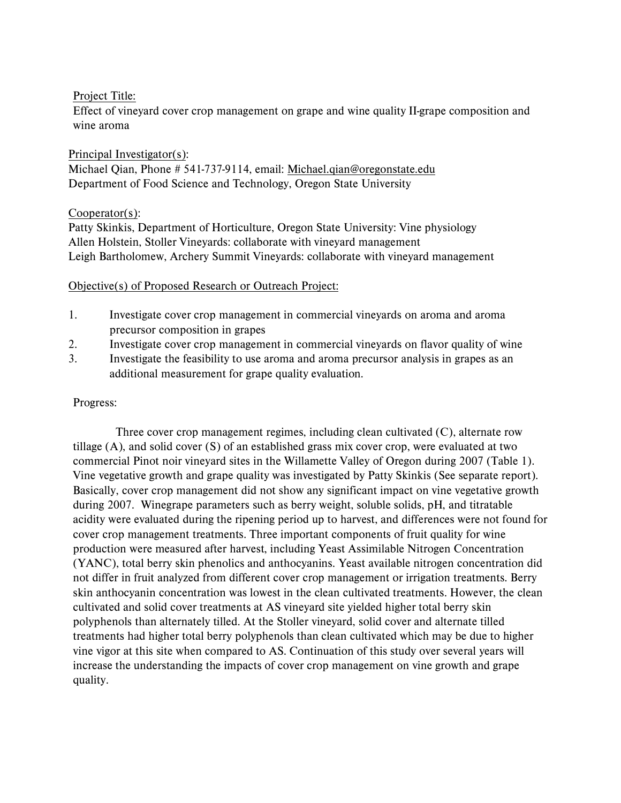Project Title:

Effect of vineyard cover crop management on grape and wine quality II-grape composition and wine aroma

Principal Investigator(s): Michael Qian, Phone # 541-737-9114, email: Michael.qian@oregonstate.edu Department of Food Science and Technology, Oregon State University

# Cooperator(s):

 Patty Skinkis, Department of Horticulture, Oregon State University: Vine physiology Allen Holstein, Stoller Vineyards: collaborate with vineyard management Leigh Bartholomew, Archery Summit Vineyards: collaborate with vineyard management

## Objective(s) of Proposed Research or Outreach Project:

- precursor composition in grapes 1. Investigate cover crop management in commercial vineyards on aroma and aroma
- 2. Investigate cover crop management in commercial vineyards on flavor quality of wine
- 3. Investigate the feasibility to use aroma and aroma precursor analysis in grapes as an additional measurement for grape quality evaluation.

## Progress:

 cover crop management treatments. Three important components of fruit quality for wine production were measured after harvest, including Yeast Assimilable Nitrogen Concentration skin anthocyanin concentration was lowest in the clean cultivated treatments. However, the clean treatments had higher total berry polyphenols than clean cultivated which may be due to higher quality. Three cover crop management regimes, including clean cultivated (C), alternate row tillage  $(A)$ , and solid cover  $(S)$  of an established grass mix cover crop, were evaluated at two commercial Pinot noir vineyard sites in the Willamette Valley of Oregon during 2007 (Table 1). Vine vegetative growth and grape quality was investigated by Patty Skinkis (See separate report). Basically, cover crop management did not show any significant impact on vine vegetative growth during 2007. Winegrape parameters such as berry weight, soluble solids, pH, and titratable acidity were evaluated during the ripening period up to harvest, and differences were not found for (YANC), total berry skin phenolics and anthocyanins. Yeast available nitrogen concentration did not differ in fruit analyzed from different cover crop management or irrigation treatments. Berry cultivated and solid cover treatments at AS vineyard site yielded higher total berry skin polyphenols than alternately tilled. At the Stoller vineyard, solid cover and alternate tilled vine vigor at this site when compared to AS. Continuation of this study over several years will increase the understanding the impacts of cover crop management on vine growth and grape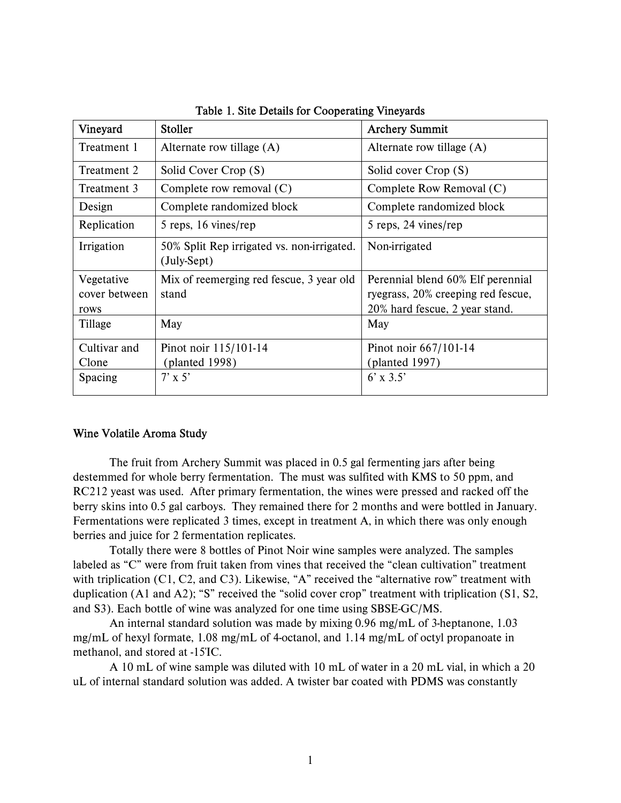| Vineyard                            | <b>Stoller</b>                                            | <b>Archery Summit</b>                                                                                     |
|-------------------------------------|-----------------------------------------------------------|-----------------------------------------------------------------------------------------------------------|
| Treatment 1                         | Alternate row tillage $(A)$                               | Alternate row tillage $(A)$                                                                               |
| Treatment 2                         | Solid Cover Crop (S)                                      | Solid cover Crop (S)                                                                                      |
| Treatment 3                         | Complete row removal $(C)$                                | Complete Row Removal (C)                                                                                  |
| Design                              | Complete randomized block                                 | Complete randomized block                                                                                 |
| Replication                         | 5 reps, 16 vines/rep                                      | 5 reps, 24 vines/rep                                                                                      |
| Irrigation                          | 50% Split Rep irrigated vs. non-irrigated.<br>(July-Sept) | Non-irrigated                                                                                             |
| Vegetative<br>cover between<br>rows | Mix of reemerging red fescue, 3 year old<br>stand         | Perennial blend 60% Elf perennial<br>ryegrass, 20% creeping red fescue,<br>20% hard fescue, 2 year stand. |
| Tillage                             | May                                                       | May                                                                                                       |
| Cultivar and<br>Clone               | Pinot noir 115/101-14<br>(planted 1998)                   | Pinot noir 667/101-14<br>(planted $1997$ )                                                                |
| Spacing                             | $7' \times 5'$                                            | $6' \times 3.5'$                                                                                          |

Table 1. Site Details for Cooperating Vineyards

#### Wine Volatile Aroma Study

 RC212 yeast was used. After primary fermentation, the wines were pressed and racked off the Fermentations were replicated 3 times, except in treatment A, in which there was only enough The fruit from Archery Summit was placed in 0.5 gal fermenting jars after being destemmed for whole berry fermentation. The must was sulfited with KMS to 50 ppm, and berry skins into 0.5 gal carboys. They remained there for 2 months and were bottled in January. berries and juice for 2 fermentation replicates.

 labeled as "C" were from fruit taken from vines that received the "clean cultivation" treatment duplication (A1 and A2); "S" received the "solid cover crop" treatment with triplication (S1, S2, and S3). Each bottle of wine was analyzed for one time using SBSE-GC/MS. Totally there were 8 bottles of Pinot Noir wine samples were analyzed. The samples with triplication (C1, C2, and C3). Likewise, "A" received the "alternative row" treatment with

An internal standard solution was made by mixing 0.96 mg/mL of 3-heptanone, 1.03 mg/mL of hexyl formate, 1.08 mg/mL of 4-octanol, and 1.14 mg/mL of octyl propanoate in methanol, and stored at -15ΊC.

 A 10 mL of wine sample was diluted with 10 mL of water in a 20 mL vial, in which a 20 uL of internal standard solution was added. A twister bar coated with PDMS was constantly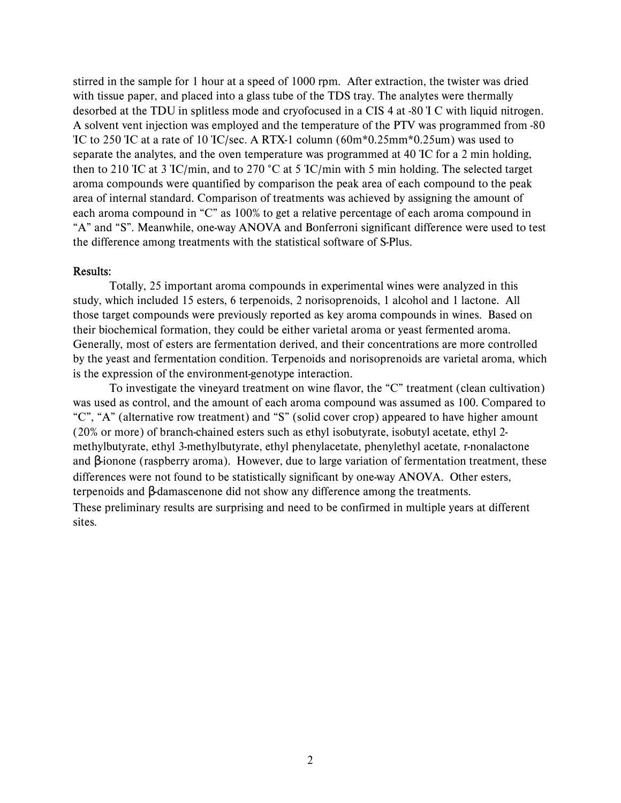with tissue paper, and placed into a glass tube of the TDS tray. The analytes were thermally aroma compounds were quantified by comparison the peak area of each compound to the peak "A" and "S". Meanwhile, one-way ANOVA and Bonferroni significant difference were used to test stirred in the sample for 1 hour at a speed of 1000 rpm. After extraction, the twister was dried desorbed at the TDU in splitless mode and cryofocused in a CIS 4 at -80 Ί C with liquid nitrogen. A solvent vent injection was employed and the temperature of the PTV was programmed from -80 ΊC to 250 ΊC at a rate of 10 ΊC/sec. A RTX-1 column (60m\*0.25mm\*0.25um) was used to separate the analytes, and the oven temperature was programmed at 40 ΊC for a 2 min holding, then to 210 TC at 3 TC/min, and to 270 °C at 5 TC/min with 5 min holding. The selected target area of internal standard. Comparison of treatments was achieved by assigning the amount of each aroma compound in "C" as 100% to get a relative percentage of each aroma compound in the difference among treatments with the statistical software of S-Plus.

#### Results:

 Totally, 25 important aroma compounds in experimental wines were analyzed in this study, which included 15 esters, 6 terpenoids, 2 norisoprenoids, 1 alcohol and 1 lactone. All those target compounds were previously reported as key aroma compounds in wines. Based on is the expression of the environment-genotype interaction. their biochemical formation, they could be either varietal aroma or yeast fermented aroma. Generally, most of esters are fermentation derived, and their concentrations are more controlled by the yeast and fermentation condition. Terpenoids and norisoprenoids are varietal aroma, which

 (20% or more) of branch-chained esters such as ethyl isobutyrate, isobutyl acetate, ethyl 2- To investigate the vineyard treatment on wine flavor, the "C" treatment (clean cultivation) was used as control, and the amount of each aroma compound was assumed as 100. Compared to "C", "A" (alternative row treatment) and "S" (solid cover crop) appeared to have higher amount methylbutyrate, ethyl 3-methylbutyrate, ethyl phenylacetate, phenylethyl acetate, r-nonalactone and β-ionone (raspberry aroma). However, due to large variation of fermentation treatment, these differences were not found to be statistically significant by one-way ANOVA. Other esters, terpenoids and β-damascenone did not show any difference among the treatments. These preliminary results are surprising and need to be confirmed in multiple years at different sites.